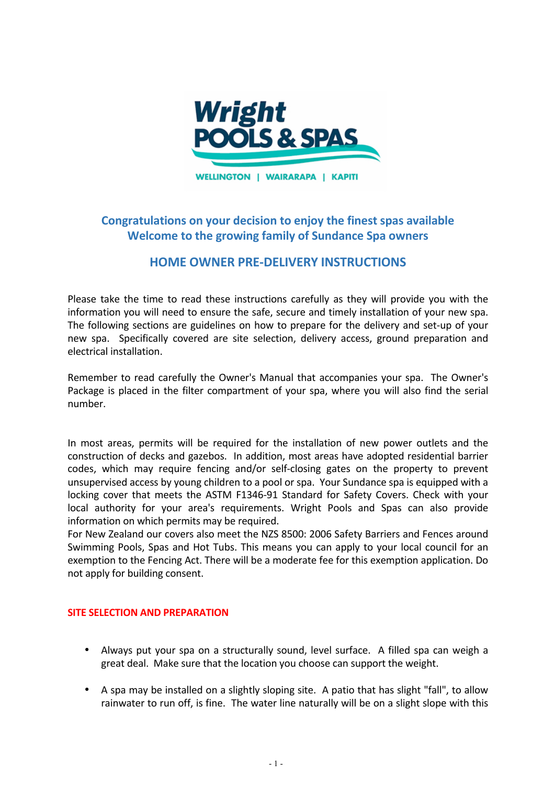

**WELLINGTON | WAIRARAPA | KAPITI** 

# **Congratulations on your decision to enjoy the finest spas available Welcome to the growing family of Sundance Spa owners**

# **HOME OWNER PRE-DELIVERY INSTRUCTIONS**

Please take the time to read these instructions carefully as they will provide you with the information you will need to ensure the safe, secure and timely installation of your new spa. The following sections are guidelines on how to prepare for the delivery and set-up of your new spa. Specifically covered are site selection, delivery access, ground preparation and electrical installation.

Remember to read carefully the Owner's Manual that accompanies your spa. The Owner's Package is placed in the filter compartment of your spa, where you will also find the serial number.

In most areas, permits will be required for the installation of new power outlets and the construction of decks and gazebos. In addition, most areas have adopted residential barrier codes, which may require fencing and/or self-closing gates on the property to prevent unsupervised access by young children to a pool or spa. Your Sundance spa is equipped with a locking cover that meets the ASTM F1346-91 Standard for Safety Covers. Check with your local authority for your area's requirements. Wright Pools and Spas can also provide information on which permits may be required.

For New Zealand our covers also meet the NZS 8500: 2006 Safety Barriers and Fences around Swimming Pools, Spas and Hot Tubs. This means you can apply to your local council for an exemption to the Fencing Act. There will be a moderate fee for this exemption application. Do not apply for building consent.

## **SITE SELECTION AND PREPARATION**

- Always put your spa on a structurally sound, level surface. A filled spa can weigh a great deal. Make sure that the location you choose can support the weight.
- A spa may be installed on a slightly sloping site. A patio that has slight "fall", to allow rainwater to run off, is fine. The water line naturally will be on a slight slope with this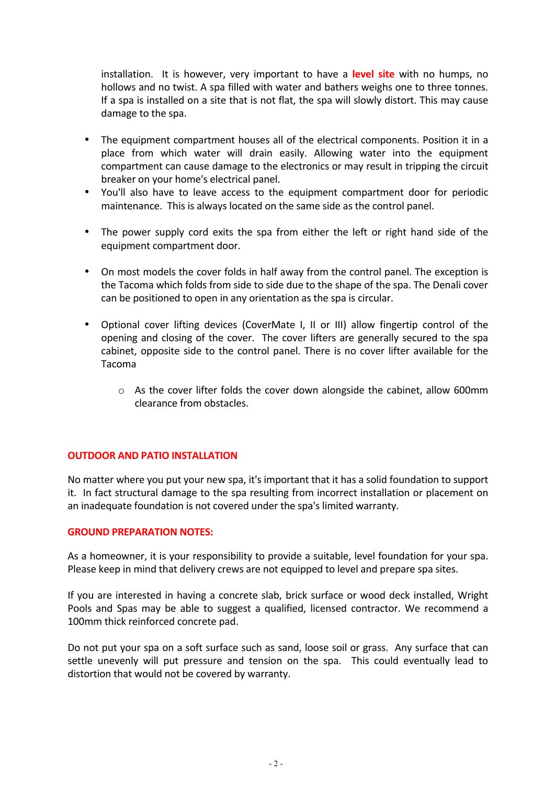installation. It is however, very important to have a **level site** with no humps, no hollows and no twist. A spa filled with water and bathers weighs one to three tonnes. If a spa is installed on a site that is not flat, the spa will slowly distort. This may cause damage to the spa.

- The equipment compartment houses all of the electrical components. Position it in a place from which water will drain easily. Allowing water into the equipment compartment can cause damage to the electronics or may result in tripping the circuit breaker on your home's electrical panel.
- You'll also have to leave access to the equipment compartment door for periodic maintenance. This is always located on the same side as the control panel.
- The power supply cord exits the spa from either the left or right hand side of the equipment compartment door.
- On most models the cover folds in half away from the control panel. The exception is the Tacoma which folds from side to side due to the shape of the spa. The Denali cover can be positioned to open in any orientation as the spa is circular.
- Optional cover lifting devices (CoverMate I, II or III) allow fingertip control of the opening and closing of the cover. The cover lifters are generally secured to the spa cabinet, opposite side to the control panel. There is no cover lifter available for the Tacoma
	- $\circ$  As the cover lifter folds the cover down alongside the cabinet, allow 600mm clearance from obstacles.

## **OUTDOOR AND PATIO INSTALLATION**

No matter where you put your new spa, it's important that it has a solid foundation to support it. In fact structural damage to the spa resulting from incorrect installation or placement on an inadequate foundation is not covered under the spa's limited warranty.

## **GROUND PREPARATION NOTES:**

As a homeowner, it is your responsibility to provide a suitable, level foundation for your spa. Please keep in mind that delivery crews are not equipped to level and prepare spa sites.

If you are interested in having a concrete slab, brick surface or wood deck installed, Wright Pools and Spas may be able to suggest a qualified, licensed contractor. We recommend a 100mm thick reinforced concrete pad.

Do not put your spa on a soft surface such as sand, loose soil or grass. Any surface that can settle unevenly will put pressure and tension on the spa. This could eventually lead to distortion that would not be covered by warranty.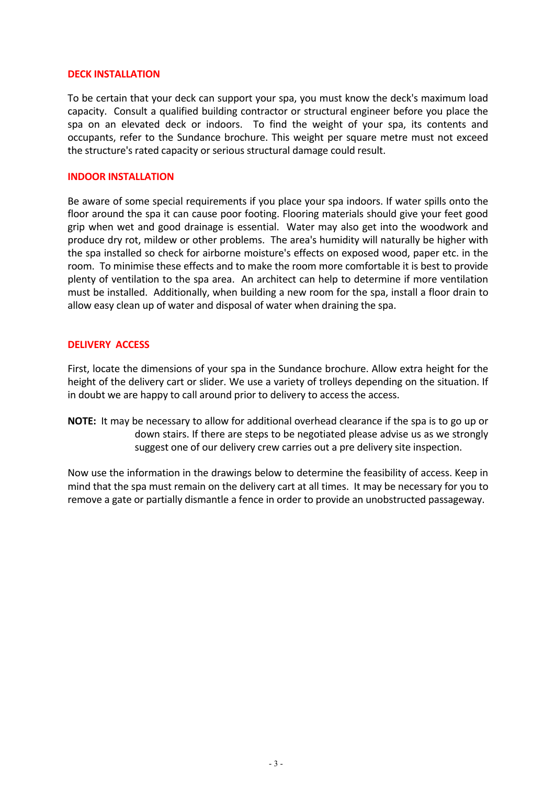## **DECK INSTALLATION**

To be certain that your deck can support your spa, you must know the deck's maximum load capacity. Consult a qualified building contractor or structural engineer before you place the spa on an elevated deck or indoors. To find the weight of your spa, its contents and occupants, refer to the Sundance brochure. This weight per square metre must not exceed the structure's rated capacity or serious structural damage could result.

## **INDOOR INSTALLATION**

Be aware of some special requirements if you place your spa indoors. If water spills onto the floor around the spa it can cause poor footing. Flooring materials should give your feet good grip when wet and good drainage is essential. Water may also get into the woodwork and produce dry rot, mildew or other problems. The area's humidity will naturally be higher with the spa installed so check for airborne moisture's effects on exposed wood, paper etc. in the room. To minimise these effects and to make the room more comfortable it is best to provide plenty of ventilation to the spa area. An architect can help to determine if more ventilation must be installed. Additionally, when building a new room for the spa, install a floor drain to allow easy clean up of water and disposal of water when draining the spa.

## **DELIVERY ACCESS**

First, locate the dimensions of your spa in the Sundance brochure. Allow extra height for the height of the delivery cart or slider. We use a variety of trolleys depending on the situation. If in doubt we are happy to call around prior to delivery to access the access.

**NOTE:** It may be necessary to allow for additional overhead clearance if the spa is to go up or down stairs. If there are steps to be negotiated please advise us as we strongly suggest one of our delivery crew carries out a pre delivery site inspection.

Now use the information in the drawings below to determine the feasibility of access. Keep in mind that the spa must remain on the delivery cart at all times. It may be necessary for you to remove a gate or partially dismantle a fence in order to provide an unobstructed passageway.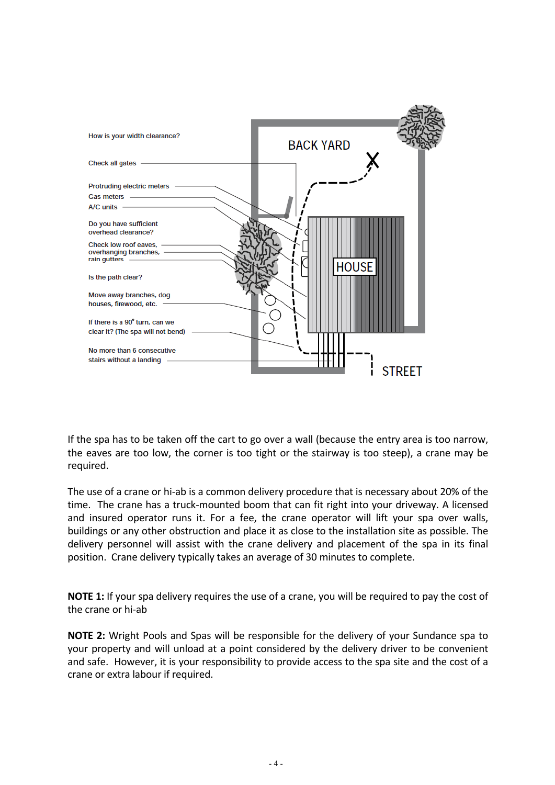

If the spa has to be taken off the cart to go over a wall (because the entry area is too narrow, the eaves are too low, the corner is too tight or the stairway is too steep), a crane may be required. 

The use of a crane or hi-ab is a common delivery procedure that is necessary about 20% of the time. The crane has a truck-mounted boom that can fit right into your driveway. A licensed and insured operator runs it. For a fee, the crane operator will lift your spa over walls, buildings or any other obstruction and place it as close to the installation site as possible. The delivery personnel will assist with the crane delivery and placement of the spa in its final position. Crane delivery typically takes an average of 30 minutes to complete.

**NOTE 1:** If your spa delivery requires the use of a crane, you will be required to pay the cost of the crane or hi-ab

**NOTE 2:** Wright Pools and Spas will be responsible for the delivery of your Sundance spa to your property and will unload at a point considered by the delivery driver to be convenient and safe. However, it is your responsibility to provide access to the spa site and the cost of a crane or extra labour if required.